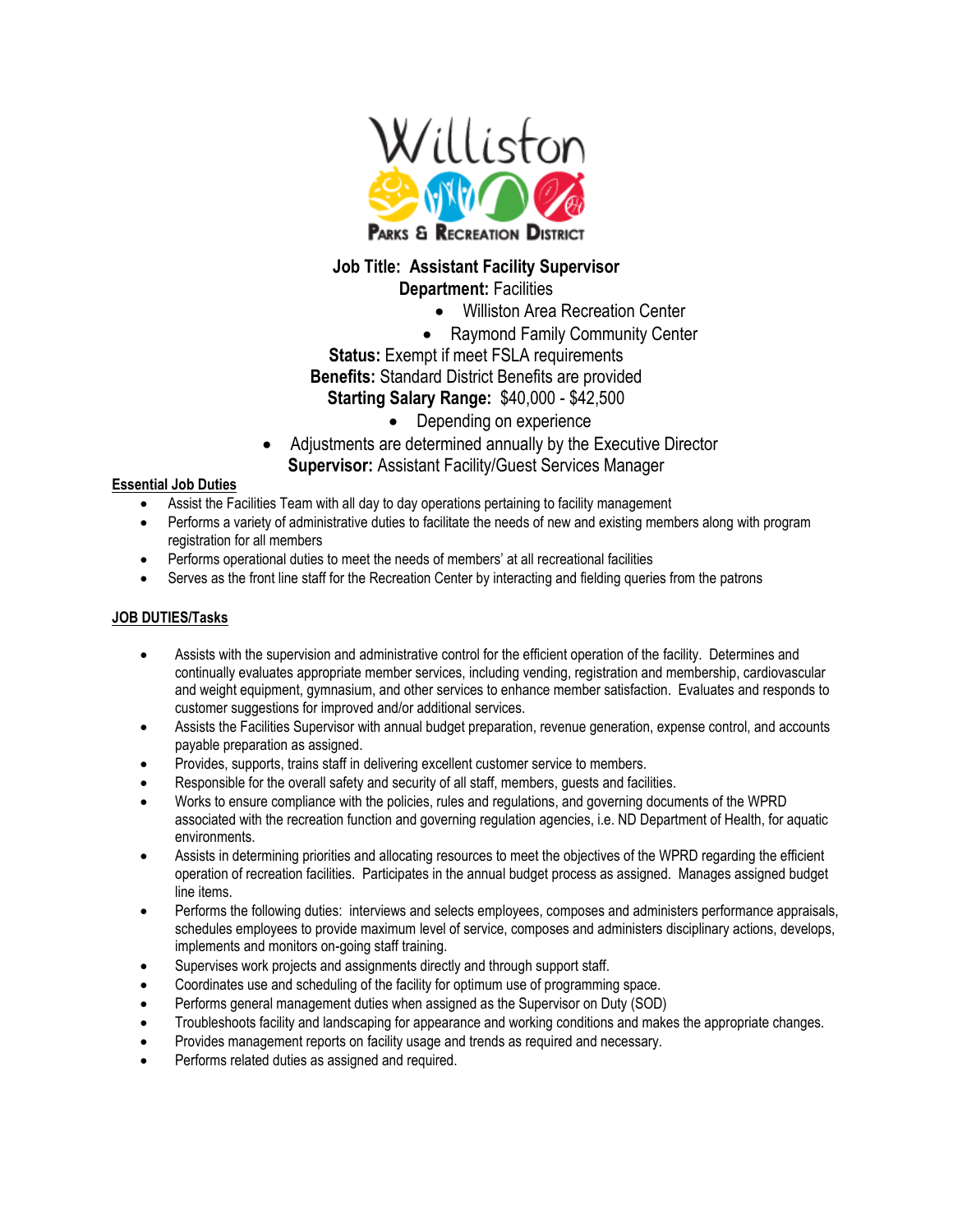

## **Job Title: Assistant Facility Supervisor**

**Department:** Facilities

- Williston Area Recreation Center
- Raymond Family Community Center
- **Status:** Exempt if meet FSLA requirements **Benefits:** Standard District Benefits are provided **Starting Salary Range:** \$40,000 - \$42,500
	- Depending on experience
- Adjustments are determined annually by the Executive Director **Supervisor:** Assistant Facility/Guest Services Manager

## **Essential Job Duties**

- Assist the Facilities Team with all day to day operations pertaining to facility management
- Performs a variety of administrative duties to facilitate the needs of new and existing members along with program registration for all members
- Performs operational duties to meet the needs of members' at all recreational facilities
- Serves as the front line staff for the Recreation Center by interacting and fielding queries from the patrons

## **JOB DUTIES/Tasks**

- Assists with the supervision and administrative control for the efficient operation of the facility. Determines and continually evaluates appropriate member services, including vending, registration and membership, cardiovascular and weight equipment, gymnasium, and other services to enhance member satisfaction. Evaluates and responds to customer suggestions for improved and/or additional services.
- Assists the Facilities Supervisor with annual budget preparation, revenue generation, expense control, and accounts payable preparation as assigned.
- Provides, supports, trains staff in delivering excellent customer service to members.
- Responsible for the overall safety and security of all staff, members, guests and facilities.
- Works to ensure compliance with the policies, rules and regulations, and governing documents of the WPRD associated with the recreation function and governing regulation agencies, i.e. ND Department of Health, for aquatic environments.
- Assists in determining priorities and allocating resources to meet the objectives of the WPRD regarding the efficient operation of recreation facilities. Participates in the annual budget process as assigned. Manages assigned budget line items.
- Performs the following duties: interviews and selects employees, composes and administers performance appraisals, schedules employees to provide maximum level of service, composes and administers disciplinary actions, develops, implements and monitors on-going staff training.
- Supervises work projects and assignments directly and through support staff.
- Coordinates use and scheduling of the facility for optimum use of programming space.
- Performs general management duties when assigned as the Supervisor on Duty (SOD)
- Troubleshoots facility and landscaping for appearance and working conditions and makes the appropriate changes.
- Provides management reports on facility usage and trends as required and necessary.
- Performs related duties as assigned and required.